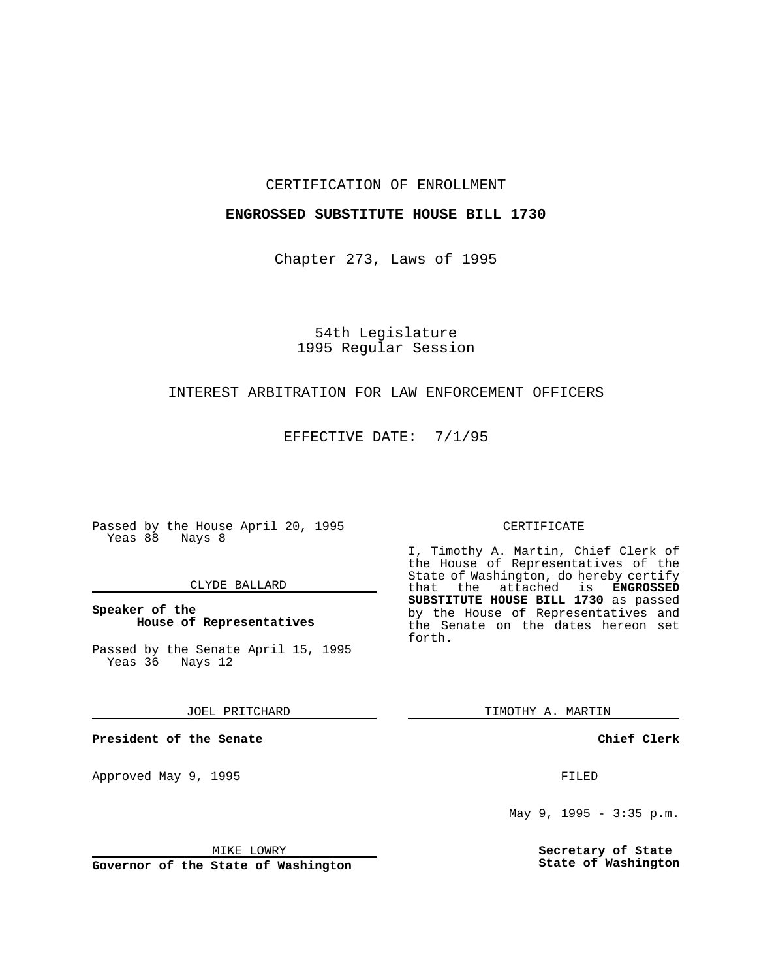#### CERTIFICATION OF ENROLLMENT

### **ENGROSSED SUBSTITUTE HOUSE BILL 1730**

Chapter 273, Laws of 1995

# 54th Legislature 1995 Regular Session

### INTEREST ARBITRATION FOR LAW ENFORCEMENT OFFICERS

EFFECTIVE DATE: 7/1/95

Passed by the House April 20, 1995 Yeas 88 Nays 8

#### CLYDE BALLARD

**Speaker of the House of Representatives**

Passed by the Senate April 15, 1995 Yeas 36 Nays 12

JOEL PRITCHARD

**President of the Senate**

Approved May 9, 1995 **FILED** 

MIKE LOWRY

**Governor of the State of Washington**

#### CERTIFICATE

I, Timothy A. Martin, Chief Clerk of the House of Representatives of the State of Washington, do hereby certify<br>that the attached is **ENGROSSED** the attached is **ENGROSSED SUBSTITUTE HOUSE BILL 1730** as passed by the House of Representatives and the Senate on the dates hereon set forth.

TIMOTHY A. MARTIN

**Chief Clerk**

May 9, 1995 - 3:35 p.m.

**Secretary of State State of Washington**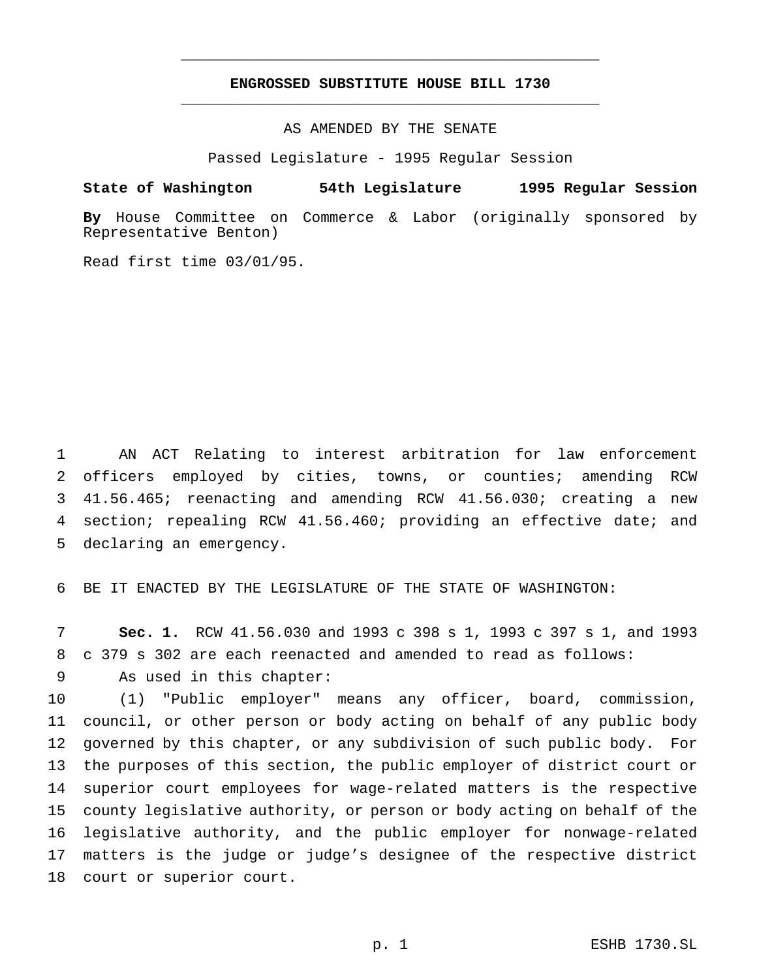## **ENGROSSED SUBSTITUTE HOUSE BILL 1730** \_\_\_\_\_\_\_\_\_\_\_\_\_\_\_\_\_\_\_\_\_\_\_\_\_\_\_\_\_\_\_\_\_\_\_\_\_\_\_\_\_\_\_\_\_\_\_

\_\_\_\_\_\_\_\_\_\_\_\_\_\_\_\_\_\_\_\_\_\_\_\_\_\_\_\_\_\_\_\_\_\_\_\_\_\_\_\_\_\_\_\_\_\_\_

AS AMENDED BY THE SENATE

Passed Legislature - 1995 Regular Session

#### **State of Washington 54th Legislature 1995 Regular Session**

**By** House Committee on Commerce & Labor (originally sponsored by Representative Benton)

Read first time 03/01/95.

 AN ACT Relating to interest arbitration for law enforcement officers employed by cities, towns, or counties; amending RCW 41.56.465; reenacting and amending RCW 41.56.030; creating a new section; repealing RCW 41.56.460; providing an effective date; and declaring an emergency.

BE IT ENACTED BY THE LEGISLATURE OF THE STATE OF WASHINGTON:

 **Sec. 1.** RCW 41.56.030 and 1993 c 398 s 1, 1993 c 397 s 1, and 1993 c 379 s 302 are each reenacted and amended to read as follows: As used in this chapter:

 (1) "Public employer" means any officer, board, commission, council, or other person or body acting on behalf of any public body governed by this chapter, or any subdivision of such public body. For the purposes of this section, the public employer of district court or superior court employees for wage-related matters is the respective county legislative authority, or person or body acting on behalf of the legislative authority, and the public employer for nonwage-related matters is the judge or judge's designee of the respective district court or superior court.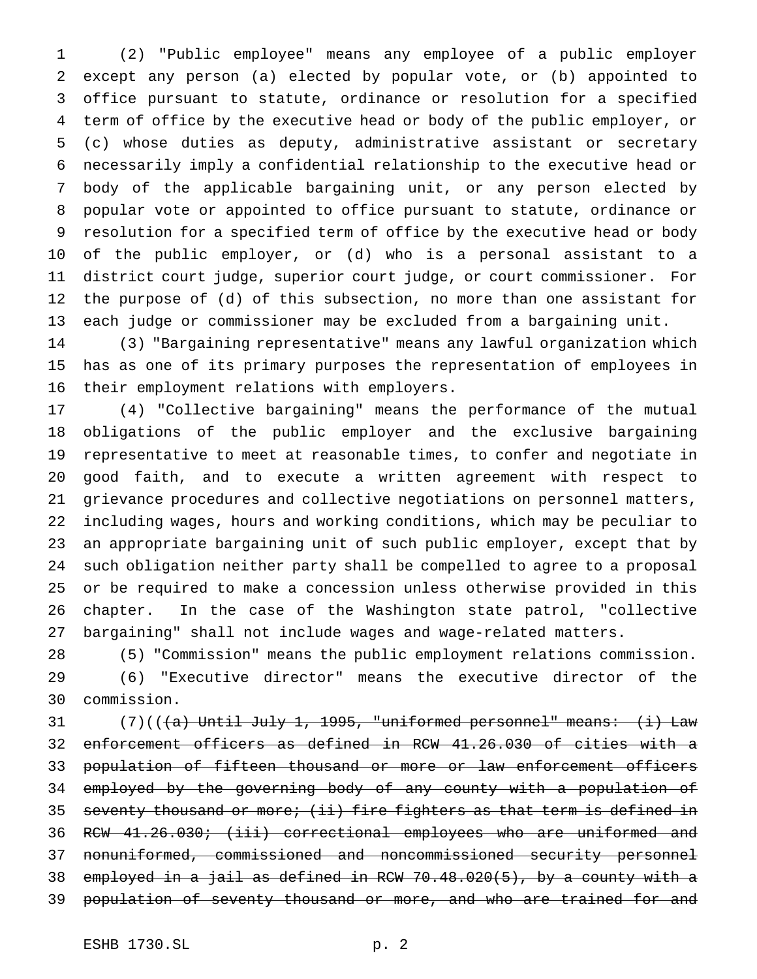(2) "Public employee" means any employee of a public employer except any person (a) elected by popular vote, or (b) appointed to office pursuant to statute, ordinance or resolution for a specified term of office by the executive head or body of the public employer, or (c) whose duties as deputy, administrative assistant or secretary necessarily imply a confidential relationship to the executive head or body of the applicable bargaining unit, or any person elected by popular vote or appointed to office pursuant to statute, ordinance or resolution for a specified term of office by the executive head or body of the public employer, or (d) who is a personal assistant to a district court judge, superior court judge, or court commissioner. For the purpose of (d) of this subsection, no more than one assistant for each judge or commissioner may be excluded from a bargaining unit.

 (3) "Bargaining representative" means any lawful organization which has as one of its primary purposes the representation of employees in their employment relations with employers.

 (4) "Collective bargaining" means the performance of the mutual obligations of the public employer and the exclusive bargaining representative to meet at reasonable times, to confer and negotiate in good faith, and to execute a written agreement with respect to grievance procedures and collective negotiations on personnel matters, including wages, hours and working conditions, which may be peculiar to an appropriate bargaining unit of such public employer, except that by such obligation neither party shall be compelled to agree to a proposal or be required to make a concession unless otherwise provided in this chapter. In the case of the Washington state patrol, "collective bargaining" shall not include wages and wage-related matters.

 (5) "Commission" means the public employment relations commission. (6) "Executive director" means the executive director of the commission.

31 (7)(( $(a)$  Until July 1, 1995, "uniformed personnel" means:  $(i)$  Law enforcement officers as defined in RCW 41.26.030 of cities with a population of fifteen thousand or more or law enforcement officers 34 employed by the governing body of any county with a population of 35 seventy thousand or more; (ii) fire fighters as that term is defined in RCW 41.26.030; (iii) correctional employees who are uniformed and nonuniformed, commissioned and noncommissioned security personnel employed in a jail as defined in RCW 70.48.020(5), by a county with a 39 population of seventy thousand or more, and who are trained for and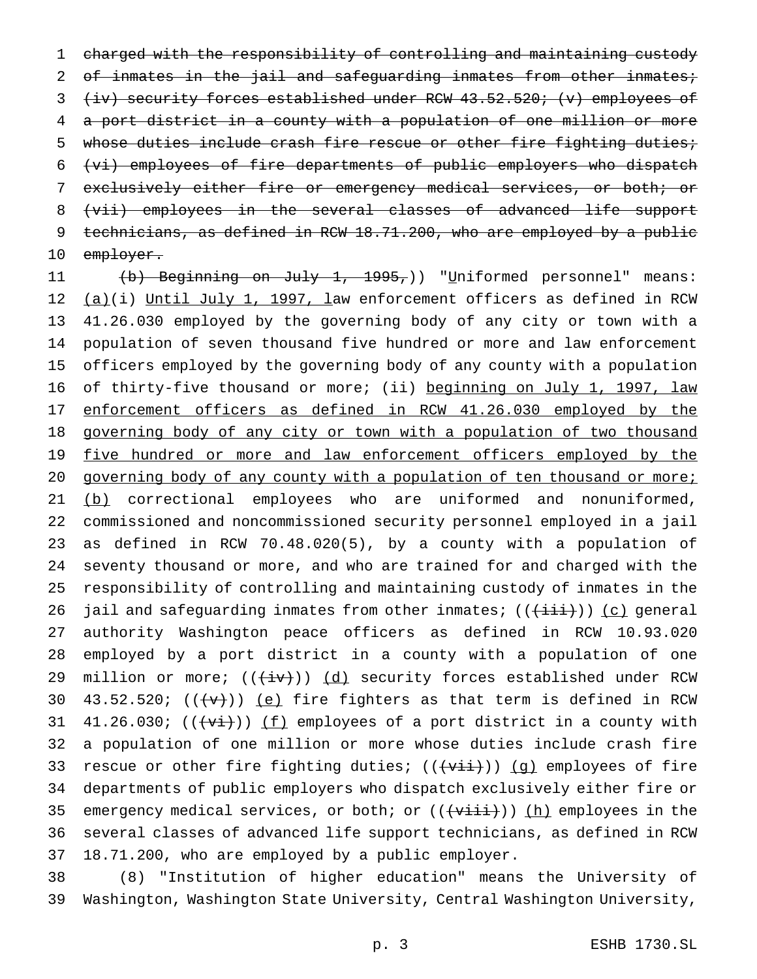1 charged with the responsibility of controlling and maintaining custody 2 of inmates in the jail and safeguarding inmates from other inmates; 3 (iv) security forces established under RCW 43.52.520; (v) employees of 4 a port district in a county with a population of one million or more 5 whose duties include crash fire rescue or other fire fighting duties; 6 (vi) employees of fire departments of public employers who dispatch 7 exclusively either fire or emergency medical services, or both; or 8 (vii) employees in the several classes of advanced life support 9 technicians, as defined in RCW 18.71.200, who are employed by a public 10 employer.

11 (b) Beginning on July 1, 1995,)) "Uniformed personnel" means: 12 (a)(i) Until July 1, 1997, law enforcement officers as defined in RCW 13 41.26.030 employed by the governing body of any city or town with a 14 population of seven thousand five hundred or more and law enforcement 15 officers employed by the governing body of any county with a population 16 of thirty-five thousand or more; (ii) beginning on July 1, 1997, law 17 enforcement officers as defined in RCW 41.26.030 employed by the 18 governing body of any city or town with a population of two thousand 19 five hundred or more and law enforcement officers employed by the 20 governing body of any county with a population of ten thousand or more; 21 (b) correctional employees who are uniformed and nonuniformed, 22 commissioned and noncommissioned security personnel employed in a jail 23 as defined in RCW 70.48.020(5), by a county with a population of 24 seventy thousand or more, and who are trained for and charged with the 25 responsibility of controlling and maintaining custody of inmates in the 26 jail and safeguarding inmates from other inmates;  $((+iii))$  (c) general 27 authority Washington peace officers as defined in RCW 10.93.020 28 employed by a port district in a county with a population of one 29 million or more;  $((\overleftrightarrow{iv}))$   $(d)$  security forces established under RCW 30 43.52.520;  $((\forall \rightarrow))$  (e) fire fighters as that term is defined in RCW 31 41.26.030;  $((\overrightarrow{vt}))$  (f) employees of a port district in a county with 32 a population of one million or more whose duties include crash fire 33 rescue or other fire fighting duties;  $((\overrightarrow{v\texttt{t}\texttt{i}}))$  (g) employees of fire 34 departments of public employers who dispatch exclusively either fire or 35 emergency medical services, or both; or  $((\overline{\text{visit}}))$  (h) employees in the 36 several classes of advanced life support technicians, as defined in RCW 37 18.71.200, who are employed by a public employer.

38 (8) "Institution of higher education" means the University of 39 Washington, Washington State University, Central Washington University,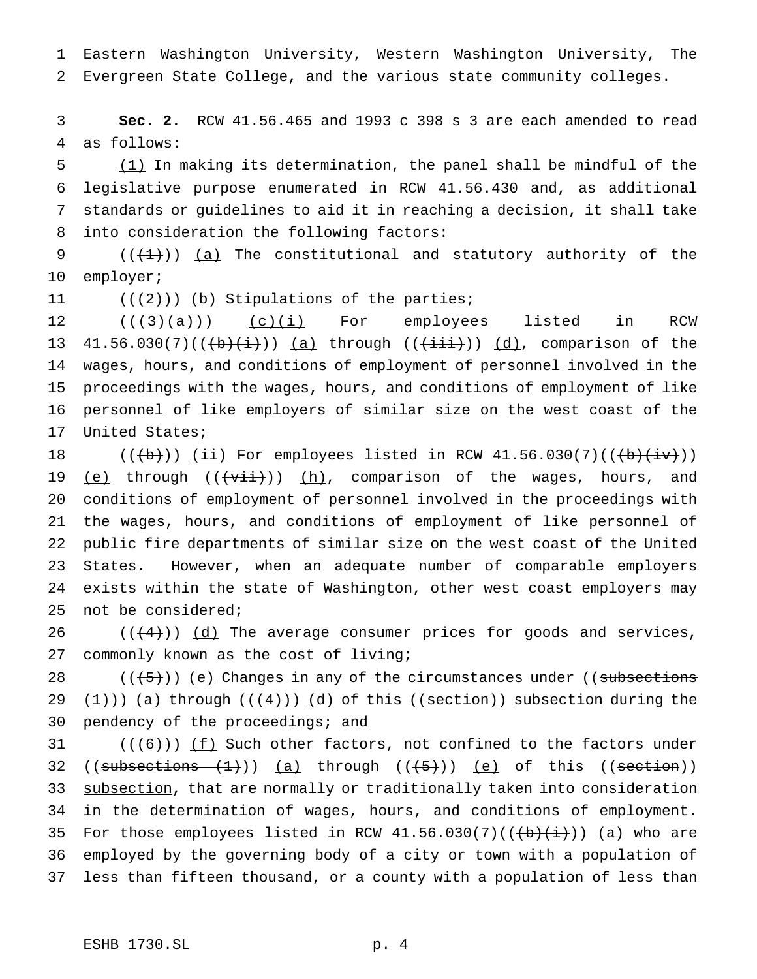Eastern Washington University, Western Washington University, The Evergreen State College, and the various state community colleges.

 **Sec. 2.** RCW 41.56.465 and 1993 c 398 s 3 are each amended to read as follows:

 (1) In making its determination, the panel shall be mindful of the legislative purpose enumerated in RCW 41.56.430 and, as additional standards or guidelines to aid it in reaching a decision, it shall take into consideration the following factors:

9  $((+1))$   $(a)$  The constitutional and statutory authority of the employer;

11  $((+2))$  (b) Stipulations of the parties;

 $((+3)+(a))$   $(c)(i)$  For employees listed in RCW 13 41.56.030(7)( $(\frac{b}{i})$ )) (a) through ( $(\frac{ii}{i})$ )) (d), comparison of the wages, hours, and conditions of employment of personnel involved in the proceedings with the wages, hours, and conditions of employment of like personnel of like employers of similar size on the west coast of the United States;

 $((+b))$   $(i)$  For employees listed in RCW 41.56.030(7)( $(+b)$  $(i)$ )) 19 (e) through  $((\overrightarrow{v\pm\dot{\pm}}))$  (h), comparison of the wages, hours, and conditions of employment of personnel involved in the proceedings with the wages, hours, and conditions of employment of like personnel of public fire departments of similar size on the west coast of the United States. However, when an adequate number of comparable employers exists within the state of Washington, other west coast employers may not be considered;

 $((+4))$   $(d)$  The average consumer prices for goods and services, commonly known as the cost of living;

 $((+5))$  (e) Changes in any of the circumstances under ((subsections 29  $(1)$ ) (a) through  $((+4))$  (d) of this ((section)) subsection during the pendency of the proceedings; and

31  $((+6))$   $(f)$  Such other factors, not confined to the factors under 32 (( $\text{subsections}$   $(1)$ )) (a) through (( $(5)$ )) (e) of this (( $\text{section}$ )) 33 subsection, that are normally or traditionally taken into consideration in the determination of wages, hours, and conditions of employment. 35 For those employees listed in RCW  $41.56.030(7)((\theta)(i)+i)$  (a) who are employed by the governing body of a city or town with a population of less than fifteen thousand, or a county with a population of less than